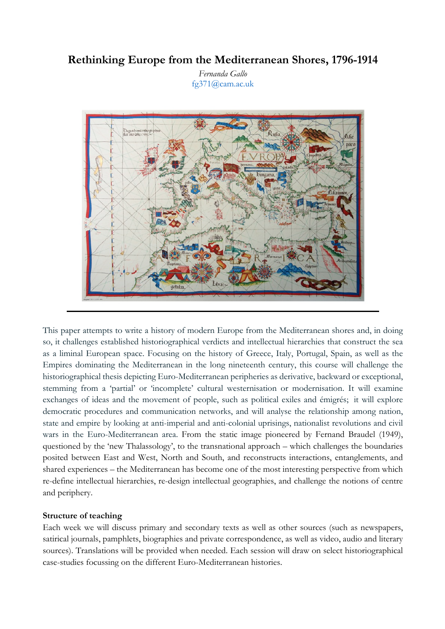# **Rethinking Europe from the Mediterranean Shores, 1796-1914**

*Fernanda Gallo* fg371@cam.ac.uk



This paper attempts to write a history of modern Europe from the Mediterranean shores and, in doing so, it challenges established historiographical verdicts and intellectual hierarchies that construct the sea as a liminal European space. Focusing on the history of Greece, Italy, Portugal, Spain, as well as the Empires dominating the Mediterranean in the long nineteenth century, this course will challenge the historiographical thesis depicting Euro-Mediterranean peripheries as derivative, backward or exceptional, stemming from a 'partial' or 'incomplete' cultural westernisation or modernisation. It will examine exchanges of ideas and the movement of people, such as political exiles and émigrés; it will explore democratic procedures and communication networks, and will analyse the relationship among nation, state and empire by looking at anti-imperial and anti-colonial uprisings, nationalist revolutions and civil wars in the Euro-Mediterranean area. From the static image pioneered by Fernand Braudel (1949), questioned by the 'new Thalassology', to the transnational approach – which challenges the boundaries posited between East and West, North and South, and reconstructs interactions, entanglements, and shared experiences – the Mediterranean has become one of the most interesting perspective from which re-define intellectual hierarchies, re-design intellectual geographies, and challenge the notions of centre and periphery.

### **Structure of teaching**

Each week we will discuss primary and secondary texts as well as other sources (such as newspapers, satirical journals, pamphlets, biographies and private correspondence, as well as video, audio and literary sources). Translations will be provided when needed. Each session will draw on select historiographical case-studies focussing on the different Euro-Mediterranean histories.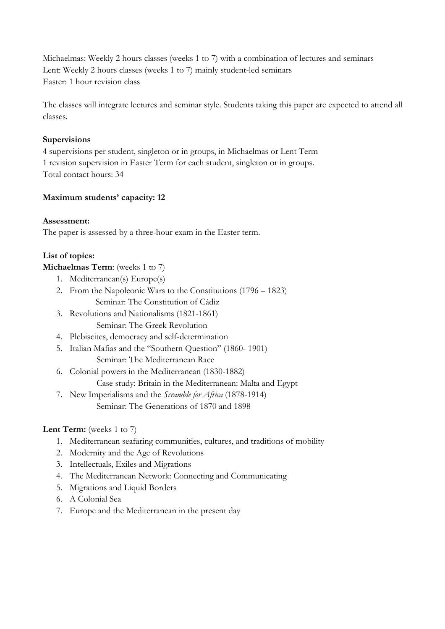Michaelmas: Weekly 2 hours classes (weeks 1 to 7) with a combination of lectures and seminars Lent: Weekly 2 hours classes (weeks 1 to 7) mainly student-led seminars Easter: 1 hour revision class

The classes will integrate lectures and seminar style. Students taking this paper are expected to attend all classes.

# **Supervisions**

4 supervisions per student, singleton or in groups, in Michaelmas or Lent Term 1 revision supervision in Easter Term for each student, singleton or in groups. Total contact hours: 34

# **Maximum students' capacity: 12**

### **Assessment:**

The paper is assessed by a three-hour exam in the Easter term.

# **List of topics:**

# **Michaelmas Term:** (weeks 1 to 7)

- 1. Mediterranean(s) Europe(s)
- 2. From the Napoleonic Wars to the Constitutions (1796 1823) Seminar: The Constitution of Cádiz
- 3. Revolutions and Nationalisms (1821-1861) Seminar: The Greek Revolution
- 4. Plebiscites, democracy and self-determination
- 5. Italian Mafias and the "Southern Question" (1860- 1901) Seminar: The Mediterranean Race
- 6. Colonial powers in the Mediterranean (1830-1882)

Case study: Britain in the Mediterranean: Malta and Egypt

7. New Imperialisms and the *Scramble for Africa* (1878-1914) Seminar: The Generations of 1870 and 1898

# Lent Term: (weeks 1 to 7)

- 1. Mediterranean seafaring communities, cultures, and traditions of mobility
- 2. Modernity and the Age of Revolutions
- 3. Intellectuals, Exiles and Migrations
- 4. The Mediterranean Network: Connecting and Communicating
- 5. Migrations and Liquid Borders
- 6. A Colonial Sea
- 7. Europe and the Mediterranean in the present day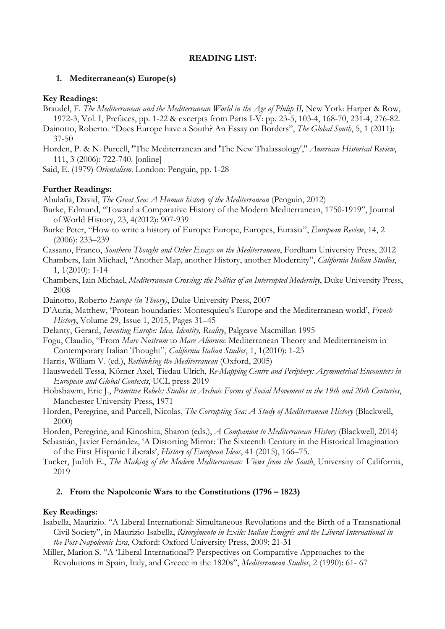### **READING LIST:**

### **1. Mediterranean(s) Europe(s)**

#### **Key Readings:**

- Braudel, F. *The Mediterranean and the Mediterranean World in the Age of Philip II,* New York: Harper & Row, 1972-3, Vol. I, Prefaces, pp. 1-22 & excerpts from Parts I-V: pp. 23-5, 103-4, 168-70, 231-4, 276-82.
- Dainotto, Roberto. "Does Europe have a South? An Essay on Borders", *The Global South*, 5, 1 (2011): 37-50
- Horden, P. & N. Purcell, "The Mediterranean and 'The New Thalassology'," *American Historical Review*, 111, 3 (2006): 722-740. [online]

Said, E. (1979) *Orientalism*. London: Penguin, pp. 1-28

#### **Further Readings:**

Abulafia, David, *The Great Sea: A Human history of the Mediterranean* (Penguin, 2012)

- Burke, Edmund, "Toward a Comparative History of the Modern Mediterranean, 1750-1919", Journal of World History, 23, 4(2012): 907-939
- Burke Peter, "How to write a history of Europe: Europe, Europes, Eurasia", *European Review*, 14, 2 (2006): 233–239
- Cassano, Franco, *Southern Thought and Other Essays on the Mediterranean*, Fordham University Press, 2012
- Chambers, Iain Michael, "Another Map, another History, another Modernity", *California Italian Studies*, 1, 1(2010): 1-14
- Chambers, Iain Michael, *Mediterranean Crossing: the Politics of an Interrupted Modernity*, Duke University Press, 2008
- Dainotto, Roberto *Europe (in Theory)*, Duke University Press, 2007
- D'Auria, Matthew, 'Protean boundaries: Montesquieu's Europe and the Mediterranean world', *French History*, Volume 29, Issue 1, 2015, Pages 31–45
- Delanty, Gerard, *Inventing Europe: Idea, Identity, Reality*, Palgrave Macmillan 1995
- Fogu, Claudio, "From *Mare Nostrum* to *Mare Aliorum*: Mediterranean Theory and Mediterraneism in Contemporary Italian Thought", *California Italian Studies*, 1, 1(2010): 1-23
- Harris, William V. (ed.), *Rethinking the Mediterranean* (Oxford, 2005)
- Hauswedell Tessa, Körner Axel, Tiedau Ulrich, *Re-Mapping Centre and Periphery: Asymmetrical Encounters in European and Global Contexts*, UCL press 2019
- Hobsbawm, Eric J., *Primitive Rebels: Studies in Archaic Forms of Social Movement in the 19th and 20th Centuries*, Manchester University Press, 1971
- Horden, Peregrine, and Purcell, Nicolas, *The Corrupting Sea: A Study of Mediterranean History* (Blackwell, 2000)
- Horden, Peregrine, and Kinoshita, Sharon (eds.), *A Companion to Mediterranean History* (Blackwell, 2014)
- Sebastián, Javier Fernández, 'A Distorting Mirror: The Sixteenth Century in the Historical Imagination of the First Hispanic Liberals', *History of European Ideas*, 41 (2015), 166–75.
- Tucker, Judith E., *The Making of the Modern Mediterranean: Views from the South*, University of California, 2019

### **2. From the Napoleonic Wars to the Constitutions (1796 – 1823)**

### **Key Readings:**

- Isabella, Maurizio. "A Liberal International: Simultaneous Revolutions and the Birth of a Transnational Civil Society", in Maurizio Isabella, *Risorgimento in Exile: Italian Émigrés and the Liberal International in the Post-Napoleonic Era*, Oxford: Oxford University Press, 2009: 21-31
- Miller, Marion S. "A 'Liberal International'? Perspectives on Comparative Approaches to the Revolutions in Spain, Italy, and Greece in the 1820s", *Mediterranean Studies*, 2 (1990): 61- 67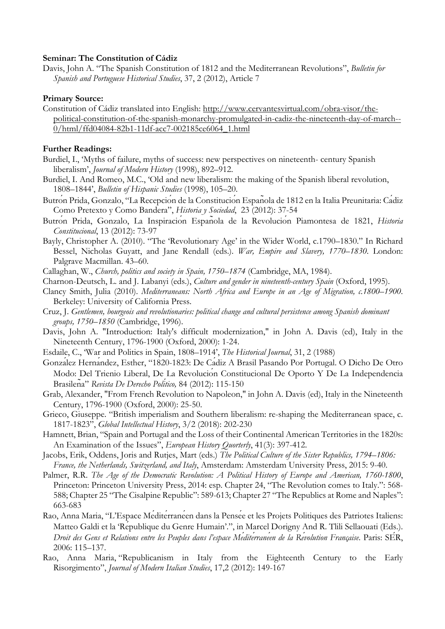### **Seminar: The Constitution of Cádiz**

Davis, John A. "The Spanish Constitution of 1812 and the Mediterranean Revolutions", *Bulletin for Spanish and Portuguese Historical Studies*, 37, 2 (2012), Article 7

### **Primary Source:**

Constitution of Cádiz translated into English: http://www.cervantesvirtual.com/obra-visor/thepolitical-constitution-of-the-spanish-monarchy-promulgated-in-cadiz-the-nineteenth-day-of-march-- 0/html/ffd04084-82b1-11df-acc7-002185ce6064\_1.html

### **Further Readings:**

- Burdiel, I., 'Myths of failure, myths of success: new perspectives on nineteenth- century Spanish liberalism', *Journal of Modern History* (1998), 892–912.
- Burdiel, I. And Romeo, M.C., 'Old and new liberalism: the making of the Spanish liberal revolution, 1808–1844', *Bulletin of Hispanic Studies* (1998), 105–20.
- Butrón Prida, Gonzalo, "La Recepción de la Constitución Española de 1812 en la Italia Preunitaria: Cádiz Como Pretexto y Como Bandera", *Historia y Sociedad*, 23 (2012): 37-54
- Butrón Prida, Gonzalo, La Inspiración Española de la Revolución Piamontesa de 1821, *Historia Constitucional*, 13 (2012): 73-97
- Bayly, Christopher A. (2010). "The 'Revolutionary Age' in the Wider World, c.1790–1830." In Richard Bessel, Nicholas Guyatt, and Jane Rendall (eds.). *War, Empire and Slavery, 1770–1830*. London: Palgrave Macmillan. 43–60.

Callaghan, W., *Church, politics and society in Spain, 1750–1874* (Cambridge, MA, 1984).

- Charnon-Deutsch, L. and J. Labanyi (eds.), *Culture and gender in nineteenth-century Spain* (Oxford, 1995).
- Clancy Smith, Julia (2010). *Mediterraneans: North Africa and Europe in an Age of Migration, c.1800–1900*. Berkeley: University of California Press.
- Cruz, J. *Gentlemen, bourgeois and revolutionaries: political change and cultural persistence among Spanish dominant groups, 1750–1850* (Cambridge, 1996).
- Davis, John A. "Introduction: Italy's difficult modernization," in John A. Davis (ed), Italy in the Nineteenth Century, 1796-1900 (Oxford, 2000): 1-24.
- Esdaile, C., 'War and Politics in Spain, 1808–1914', *The Historical Journal*, 31, 2 (1988)
- González Hernández, Esther, "1820-1823: De Cádiz A Brasil Pasando Por Portugal. O Dicho De Otro Modo: Del Trienio Liberal, De La Revolución Constitucional De Oporto Y De La Independencia Brasileña" *Revista De Derecho Político,* 84 (2012): 115-150
- Grab, Alexander, "From French Revolution to Napoleon," in John A. Davis (ed), Italy in the Nineteenth Century, 1796-1900 (Oxford, 2000): 25-50.
- Grieco, Giuseppe. "British imperialism and Southern liberalism: re-shaping the Mediterranean space, c. 1817-1823", *Global Intellectual History*, 3/2 (2018): 202-230
- Hamnett, Brian, "Spain and Portugal and the Loss of their Continental American Territories in the 1820s: An Examination of the Issues", *European History Quorterly*, 41(3): 397-412.
- Jacobs, Erik, Oddens, Joris and Rutjes, Mart (eds.) *The Political Culture of the Sister Republics, 1794–1806: France, the Netherlands, Switzerland, and Italy*, Amsterdam: Amsterdam University Press, 2015: 9-40.
- Palmer, R.R. *The Age of the Democratic Revolution: A Political History of Europe and American, 1760-1800*, Princeton: Princeton University Press, 2014: esp. Chapter 24, "The Revolution comes to Italy.": 568- 588; Chapter 25 "The Cisalpine Republic": 589-613; Chapter 27 "The Republics at Rome and Naples": 663-683
- Rao, Anna Maria, "L'Espace Mediterraneen dans la Pensee et les Projets Politiques des Patriotes Italiens: Matteo Galdi et la 'République du Genre Humain'.", in Marcel Dorigny And R. Tlili Sellaouati (Eds.). *Droit des Gens et Relations entre les Peuples dans l'espace Méditérranéen de la Révolution Française*. Paris: SÉR, 2006: 115–137.
- Rao, Anna Maria, "Republicanism in Italy from the Eighteenth Century to the Early Risorgimento", *Journal of Modern Italian Studies*, 17,2 (2012): 149-167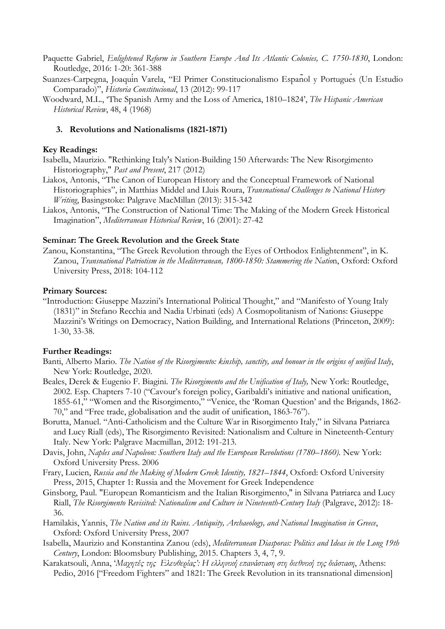- Paquette Gabriel, *Enlightened Reform in Southern Europe And Its Atlantic Colonies, C. 1750-1830*, London: Routledge, 2016: 1-20: 361-388
- Suanzes-Carpegna, Joaquín Varela, "El Primer Constitucionalismo Español y Portugués (Un Estudio Comparado)", *Historia Constitucional*, 13 (2012): 99-117
- Woodward, M.L., 'The Spanish Army and the Loss of America, 1810–1824', *The Hispanic American Historical Review*, 48, 4 (1968)

### **3. Revolutions and Nationalisms (1821-1871)**

### **Key Readings:**

Isabella, Maurizio. "Rethinking Italy's Nation-Building 150 Afterwards: The New Risorgimento Historiography," *Past and Present*, 217 (2012)

- Liakos, Antonis, "The Canon of European History and the Conceptual Framework of National Historiographies", in Matthias Middel and Lluis Roura, *Transnational Challenges to National History Writing*, Basingstoke: Palgrave MacMillan (2013): 315-342
- Liakos, Antonis, "The Construction of National Time: The Making of the Modern Greek Historical Imagination", *Mediterranean Historical Review*, 16 (2001): 27-42

### **Seminar: The Greek Revolution and the Greek State**

Zanou, Konstantina, "The Greek Revolution through the Eyes of Orthodox Enlightenment", in K. Zanou, *Transnational Patriotism in the Mediterranean, 1800-1850: Stammering the Nation*, Oxford: Oxford University Press, 2018: 104-112

### **Primary Sources:**

"Introduction: Giuseppe Mazzini's International Political Thought," and "Manifesto of Young Italy (1831)" in Stefano Recchia and Nadia Urbinati (eds) A Cosmopolitanism of Nations: Giuseppe Mazzini's Writings on Democracy, Nation Building, and International Relations (Princeton, 2009): 1-30, 33-38.

### **Further Readings:**

- Banti, Alberto Mario. *The Nation of the Risorgimento: kinship, sanctity, and honour in the origins of unified Italy*, New York: Routledge, 2020.
- Beales, Derek & Eugenio F. Biagini. *The Risorgimento and the Unification of Italy,* New York: Routledge, 2002. Esp. Chapters 7-10 ("Cavour's foreign policy, Garibaldi's initiative and national unification, 1855-61," "Women and the Risorgimento," "Venice, the 'Roman Question' and the Brigands, 1862- 70," and "Free trade, globalisation and the audit of unification, 1863-76").
- Borutta, Manuel. "Anti-Catholicism and the Culture War in Risorgimento Italy," in Silvana Patriarca and Lucy Riall (eds), The Risorgimento Revisited: Nationalism and Culture in Nineteenth-Century Italy. New York: Palgrave Macmillan, 2012: 191-213.
- Davis, John, *Naples and Napoleon: Southern Italy and the European Revolutions (1780–1860).* New York: Oxford University Press. 2006
- Frary, Lucien, *Russia and the Making of Modern Greek Identity, 1821–1844*, Oxford: Oxford University Press, 2015, Chapter 1: Russia and the Movement for Greek Independence
- Ginsborg, Paul. "European Romanticism and the Italian Risorgimento," in Silvana Patriarca and Lucy Riall, *The Risorgimento Revisited: Nationalism and Culture in Nineteenth-Century Italy* (Palgrave, 2012): 18- 36.
- Hamilakis, Yannis, *The Nation and its Ruins. Antiquity, Archaeology, and National Imagination in Greece*, Oxford: Oxford University Press, 2007
- Isabella, Maurizio and Konstantina Zanou (eds), *Mediterranean Diasporas: Politics and Ideas in the Long 19th Century*, London: Bloomsbury Publishing, 2015. Chapters 3, 4, 7, 9.
- Karakatsouli, Anna, '*Μαχητές της Ελευθερίας': Η ελληνική επανάσταση στη διεθνική της διάσταση*, Athens: Pedio, 2016 ["Freedom Fighters" and 1821: The Greek Revolution in its transnational dimension]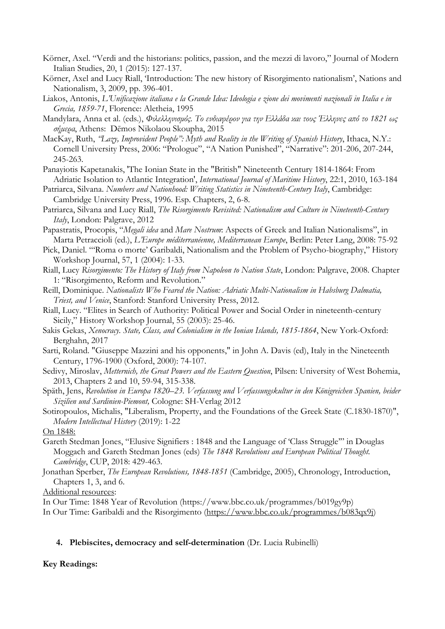- Körner, Axel. "Verdi and the historians: politics, passion, and the mezzi di lavoro," Journal of Modern Italian Studies, 20, 1 (2015): 127-137.
- Körner, Axel and Lucy Riall, 'Introduction: The new history of Risorgimento nationalism', Nations and Nationalism, 3, 2009, pp. 396-401.
- Liakos, Antonis, *L'Unificazione italiana e la Grande Idea: Ideologia e zione dei movimenti nazionali in Italia e in Grecia, 1859-71*, Florence: Aletheia, 1995
- Mandylara, Anna et al. (eds.), *Φιλελληνισµός. Το ενδιαφέρον για την Ελλάδα και τους Έλληνες από το 1821 ως σήµερα*, Athens: Dēmos Nikolaou Skoupha, 2015
- MacKay, Ruth, *"Lazy, Improvident People": Myth and Reality in the Writing of Spanish History*, Ithaca, N.Y.: Cornell University Press, 2006: "Prologue", "A Nation Punished", "Narrative": 201-206, 207-244, 245-263.
- Panayiotis Kapetanakis, 'The Ionian State in the "British" Nineteenth Century 1814-1864: From Adriatic Isolation to Atlantic Integration', *International Journal of Maritime History*, 22:1, 2010, 163-184
- Patriarca, Silvana. *Numbers and Nationhood: Writing Statistics in Nineteenth-Century Italy*, Cambridge: Cambridge University Press, 1996. Esp. Chapters, 2, 6-8.
- Patriarca, Silvana and Lucy Riall, *The Risorgimento Revisited: Nationalism and Culture in Nineteenth-Century Italy*, London: Palgrave, 2012
- Papastratis, Procopis, "*Megali idea* and *Mare Nostrum*: Aspects of Greek and Italian Nationalisms", in Marta Petraccioli (ed.), *L'Europe méditerranéenne, Mediterranean Europe*, Berlin: Peter Lang, 2008: 75-92
- Pick, Daniel. "'Roma o morte' Garibaldi, Nationalism and the Problem of Psycho-biography," History Workshop Journal, 57, 1 (2004): 1-33.
- Riall, Lucy *Risorgimento: The History of Italy from Napoleon to Nation State*, London: Palgrave, 2008. Chapter 1: "Risorgimento, Reform and Revolution."
- Reill, Dominique. *Nationalists Who Feared the Nation: Adriatic Multi-Nationalism in Habsburg Dalmatia, Triest, and Venice*, Stanford: Stanford University Press, 2012.
- Riall, Lucy. "Elites in Search of Authority: Political Power and Social Order in nineteenth-century Sicily," History Workshop Journal, 55 (2003): 25-46.
- Sakis Gekas, *Xenocracy. State, Class, and Colonialism in the Ionian Islands, 1815-1864*, New York-Oxford: Berghahn, 2017
- Sarti, Roland. "Giuseppe Mazzini and his opponents," in John A. Davis (ed), Italy in the Nineteenth Century, 1796-1900 (Oxford, 2000): 74-107.
- Sedivy, Miroslav, *Metternich, the Great Powers and the Eastern Question*, Pilsen: University of West Bohemia, 2013, Chapters 2 and 10, 59-94, 315-338.
- Späth, Jens, *Revolution in Europa 1820–23. Verfassung und Verfassungskultur in den Königreichen Spanien, beider Sizilien und Sardinien-Piemont,* Cologne: SH-Verlag 2012
- Sotiropoulos, Michalis, "Liberalism, Property, and the Foundations of the Greek State (C.1830-1870)", *Modern Intellectual History* (2019): 1-22
- On 1848:
- Gareth Stedman Jones, "Elusive Signifiers : 1848 and the Language of 'Class Struggle'" in Douglas Moggach and Gareth Stedman Jones (eds) *The 1848 Revolutions and European Political Thought. Cambridge*, CUP, 2018: 429-463.
- Jonathan Sperber, *The European Revolutions, 1848-1851* (Cambridge, 2005), Chronology, Introduction, Chapters 1, 3, and 6.

Additional resources:

In Our Time: 1848 Year of Revolution (https://www.bbc.co.uk/programmes/b019gy9p)

In Our Time: Garibaldi and the Risorgimento (https://www.bbc.co.uk/programmes/b083qx9j)

### **4. Plebiscites, democracy and self-determination** (Dr. Lucia Rubinelli)

### **Key Readings:**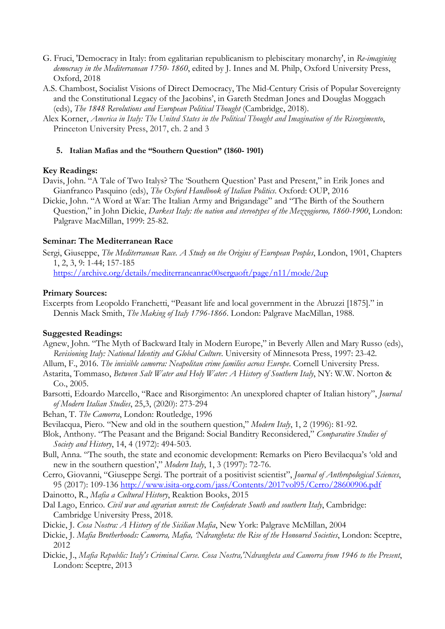- G. Fruci, 'Democracy in Italy: from egalitarian republicanism to plebiscitary monarchy', in *Re-imagining democracy in the Mediterranean 1750- 1860*, edited by J. Innes and M. Philp, Oxford University Press, Oxford, 2018
- A.S. Chambost, Socialist Visions of Direct Democracy, The Mid-Century Crisis of Popular Sovereignty and the Constitutional Legacy of the Jacobins', in Gareth Stedman Jones and Douglas Moggach (eds), *The 1848 Revolutions and European Political Thought* (Cambridge, 2018).
- Alex Korner, *America in Italy: The United States in the Political Thought and Imagination of the Risorgimento*, Princeton University Press, 2017, ch. 2 and 3

### **5. Italian Mafias and the "Southern Question" (1860- 1901)**

### **Key Readings:**

- Davis, John. "A Tale of Two Italys? The 'Southern Question' Past and Present," in Erik Jones and Gianfranco Pasquino (eds), *The Oxford Handbook of Italian Politics*. Oxford: OUP, 2016
- Dickie, John. "A Word at War: The Italian Army and Brigandage" and "The Birth of the Southern Question," in John Dickie, *Darkest Italy: the nation and stereotypes of the Mezzogiorno, 1860-1900*, London: Palgrave MacMillan, 1999: 25-82.

### **Seminar: The Mediterranean Race**

Sergi, Giuseppe, *The Mediterranean Race. A Study on the Origins of European Peoples*, London, 1901, Chapters 1, 2, 3, 9: 1-44; 157-185

https://archive.org/details/mediterraneanrac00serguoft/page/n11/mode/2up

### **Primary Sources:**

Excerpts from Leopoldo Franchetti, "Peasant life and local government in the Abruzzi [1875]." in Dennis Mack Smith, *The Making of Italy 1796-1866*. London: Palgrave MacMillan, 1988.

### **Suggested Readings:**

Agnew, John. "The Myth of Backward Italy in Modern Europe," in Beverly Allen and Mary Russo (eds), *Revisioning Italy: National Identity and Global Culture*. University of Minnesota Press, 1997: 23-42.

Allum, F., 2016. *The invisible camorra: Neapolitan crime families across Europe*. Cornell University Press.

- Astarita, Tommaso, *Between Salt Water and Holy Water: A History of Southern Italy*, NY: W.W. Norton & Co., 2005.
- Barsotti, Edoardo Marcello, "Race and Risorgimento: An unexplored chapter of Italian history", *Journal of Modern Italian Studies*, 25,3, (2020): 273-294

Behan, T. *The Camorra*, London: Routledge, 1996

Bevilacqua, Piero. "New and old in the southern question," *Modern Italy*, 1, 2 (1996): 81-92.

- Blok, Anthony. "The Peasant and the Brigand: Social Banditry Reconsidered," *Comparative Studies of Society and History*, 14, 4 (1972): 494-503.
- Bull, Anna. "The south, the state and economic development: Remarks on Piero Bevilacqua's 'old and new in the southern question'," *Modern Italy*, 1, 3 (1997): 72-76.
- Cerro, Giovanni, "Giuseppe Sergi. The portrait of a positivist scientist", *Journal of Anthropological Sciences*, 95 (2017): 109-136 http://www.isita-org.com/jass/Contents/2017vol95/Cerro/28600906.pdf
- Dainotto, R., *Mafia a Cultural History*, Reaktion Books, 2015
- Dal Lago, Enrico. *Civil war and agrarian unrest: the Confederate South and southern Italy*, Cambridge: Cambridge University Press, 2018.
- Dickie, J. *Cosa Nostra: A History of the Sicilian Mafia*, New York: Palgrave McMillan, 2004
- Dickie, J. *Mafia Brotherhoods: Camorra, Mafia, 'Ndrangheta: the Rise of the Honoured Societies*, London: Sceptre, 2012
- Dickie, J., *Mafia Republic: Italy's Criminal Curse. Cosa Nostra,'Ndrangheta and Camorra from 1946 to the Present*, London: Sceptre, 2013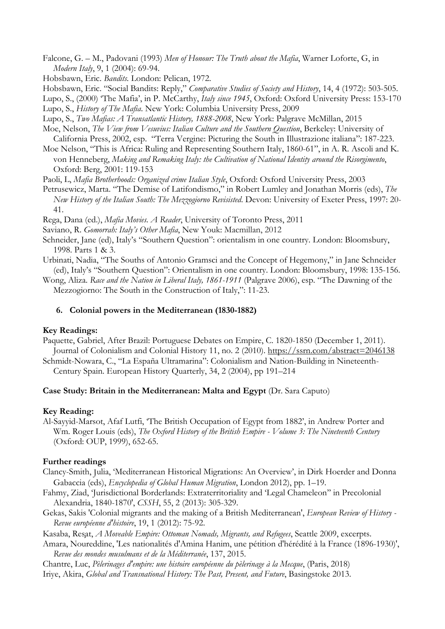- Falcone, G. M., Padovani (1993) *Men of Honour: The Truth about the Mafia*, Warner Loforte, G, in *Modern Italy*, 9, 1 (2004): 69-94.
- Hobsbawn, Eric. *Bandits.* London: Pelican, 1972.
- Hobsbawn, Eric. "Social Bandits: Reply," *Comparative Studies of Society and History*, 14, 4 (1972): 503-505.
- Lupo, S., (2000) 'The Mafia', in P. McCarthy, *Italy since 1945*, Oxford: Oxford University Press: 153-170 Lupo, S., *History of The Mafia*. New York: Columbia University Press, 2009
- Lupo, S., *Two Mafias: A Transatlantic History, 1888-2008*, New York: Palgrave McMillan, 2015

Moe, Nelson, *The View from Vesuvius: Italian Culture and the Southern Question*, Berkeley: University of California Press, 2002, esp. "Terra Vergine: Picturing the South in Illustrazione italiana": 187-223.

Moe Nelson, "This is Africa: Ruling and Representing Southern Italy, 1860-61", in A. R. Ascoli and K. von Henneberg, *Making and Remaking Italy: the Cultivation of National Identity around the Risorgimento*, Oxford: Berg, 2001: 119-153

Paoli, L, *Mafia Brotherhoods: Organized crime Italian Style*, Oxford: Oxford University Press, 2003

- Petrusewicz, Marta. "The Demise of Latifondismo," in Robert Lumley and Jonathan Morris (eds), *The New History of the Italian South: The Mezzogiorno Revisisted*. Devon: University of Exeter Press, 1997: 20- 41.
- Rega, Dana (ed.), *Mafia Movies. A Reader*, University of Toronto Press, 2011
- Saviano, R. *Gomorrah: Italy's Other Mafia*, New Youk: Macmillan, 2012
- Schneider, Jane (ed), Italy's "Southern Question": orientalism in one country. London: Bloomsbury, 1998. Parts 1 & 3.
- Urbinati, Nadia, "The Souths of Antonio Gramsci and the Concept of Hegemony," in Jane Schneider (ed), Italy's "Southern Question": Orientalism in one country. London: Bloomsbury, 1998: 135-156.

Wong, Aliza. *Race and the Nation in Liberal Italy, 1861-1911* (Palgrave 2006), esp. "The Dawning of the Mezzogiorno: The South in the Construction of Italy,": 11-23.

#### **6. Colonial powers in the Mediterranean (1830-1882)**

#### **Key Readings:**

Paquette, Gabriel, After Brazil: Portuguese Debates on Empire, C. 1820-1850 (December 1, 2011). Journal of Colonialism and Colonial History 11, no. 2 (2010). https://ssrn.com/abstract=2046138

Schmidt-Nowara, C., "La España Ultramarina": Colonialism and Nation-Building in Nineteenth-Century Spain. European History Quarterly, 34, 2 (2004), pp 191–214

### **Case Study: Britain in the Mediterranean: Malta and Egypt** (Dr. Sara Caputo)

#### **Key Reading:**

Al-Sayyid-Marsot, Afaf Lutfi, 'The British Occupation of Egypt from 1882', in Andrew Porter and Wm. Roger Louis (eds), *The Oxford History of the British Empire - Volume 3: The Nineteenth Century*  (Oxford: OUP, 1999), 652-65.

### **Further readings**

- Clancy-Smith, Julia, 'Mediterranean Historical Migrations: An Overview', in Dirk Hoerder and Donna Gabaccia (eds), *Encyclopedia of Global Human Migration*, London 2012), pp. 1–19.
- Fahmy, Ziad, 'Jurisdictional Borderlands: Extraterritoriality and 'Legal Chameleon'' in Precolonial Alexandria, 1840-1870', *CSSH*, 55, 2 (2013): 305-329.
- Gekas, Sakis 'Colonial migrants and the making of a British Mediterranean', *European Review of History - Revue européenne d'histoire*, 19, 1 (2012): 75-92.

Kasaba, Reşat, *A Moveable Empire: Ottoman Nomads, Migrants, and Refugees*, Seattle 2009, excerpts.

Amara, Noureddine, 'Les nationalités d'Amina Hanim, une pétition d'hérédité à la France (1896-1930)', *Revue des mondes musulmans et de la Méditerranée*, 137, 2015.

Chantre, Luc, *Pèlerinages d'empire: une histoire européenne du pèlerinage à la Mecque*, (Paris, 2018) Iriye, Akira, *Global and Transnational History: The Past, Present, and Future*, Basingstoke 2013.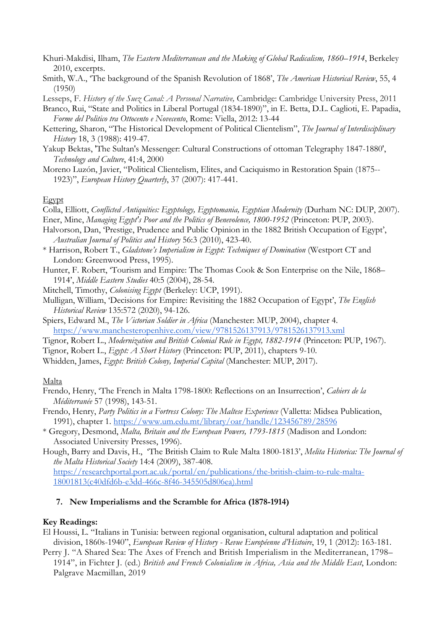- Khuri-Makdisi, Ilham, *The Eastern Mediterranean and the Making of Global Radicalism, 1860–1914*, Berkeley 2010, excerpts.
- Smith, W.A., 'The background of the Spanish Revolution of 1868', *The American Historical Review*, 55, 4 (1950)

Lesseps, F. *History of the Suez Canal: A Personal Narrative,* Cambridge: Cambridge University Press, 2011

Branco, Rui, "State and Politics in Liberal Portugal (1834-1890)", in E. Betta, D.L. Caglioti, E. Papadia, *Forme del Politico tra Ottocento e Novecento*, Rome: Viella, 2012: 13-44

- Kettering, Sharon, "The Historical Development of Political Clientelism", *The Journal of Interdisciplinary History* 18, 3 (1988): 419-47.
- Yakup Bektas, 'The Sultan's Messenger: Cultural Constructions of ottoman Telegraphy 1847-1880', *Technology and Culture*, 41:4, 2000
- Moreno Luzón, Javier, "Political Clientelism, Elites, and Caciquismo in Restoration Spain (1875-- 1923)", *European History Quarterly*, 37 (2007): 417-441.

#### Egypt

Colla, Elliott, *Conflicted Antiquities: Egyptology, Egyptomania, Egyptian Modernity* (Durham NC: DUP, 2007).

- Ener, Mine, *Managing Egypt's Poor and the Politics of Benevolence, 1800-1952* (Princeton: PUP, 2003).
- Halvorson, Dan, 'Prestige, Prudence and Public Opinion in the 1882 British Occupation of Egypt', *Australian Journal of Politics and History* 56:3 (2010), 423-40.
- \* Harrison, Robert T., *Gladstone's Imperialism in Egypt: Techniques of Domination* (Westport CT and London: Greenwood Press, 1995).
- Hunter, F. Robert, 'Tourism and Empire: The Thomas Cook & Son Enterprise on the Nile, 1868– 1914', *Middle Eastern Studies* 40:5 (2004), 28-54.
- Mitchell, Timothy, *Colonising Egypt* (Berkeley: UCP, 1991).
- Mulligan, William, 'Decisions for Empire: Revisiting the 1882 Occupation of Egypt', *The English Historical Review* 135:572 (2020), 94-126.
- Spiers, Edward M., *The Victorian Soldier in Africa* (Manchester: MUP, 2004), chapter 4. https://www.manchesteropenhive.com/view/9781526137913/9781526137913.xml
- Tignor, Robert L., *Modernization and British Colonial Rule in Egypt, 1882-1914* (Princeton: PUP, 1967).
- Tignor, Robert L., *Egypt: A Short History* (Princeton: PUP, 2011), chapters 9-10.

Whidden, James, *Egypt: British Colony, Imperial Capital* (Manchester: MUP, 2017).

### Malta

- Frendo, Henry, 'The French in Malta 1798-1800: Reflections on an Insurrection', *Cahiers de la Méditerranée* 57 (1998), 143-51.
- Frendo, Henry, *Party Politics in a Fortress Colony: The Maltese Experience* (Valletta: Midsea Publication, 1991), chapter 1. https://www.um.edu.mt/library/oar/handle/123456789/28596
- \* Gregory, Desmond, *Malta, Britain and the European Powers, 1793-1815* (Madison and London: Associated University Presses, 1996).

Hough, Barry and Davis, H., 'The British Claim to Rule Malta 1800-1813', *Melita Historica: The Journal of the Malta Historical Society* 14:4 (2009), 387-408. https://researchportal.port.ac.uk/portal/en/publications/the-british-claim-to-rule-malta-18001813(c40dfd6b-e3dd-466c-8f46-345505d806ea).html

### **7. New Imperialisms and the Scramble for Africa (1878-1914)**

### **Key Readings:**

- El Houssi, L. "Italians in Tunisia: between regional organisation, cultural adaptation and political division, 1860s-1940", *European Review of History - Revue Européenne d'Histoire*, 19, 1 (2012): 163-181.
- Perry J. "A Shared Sea: The Axes of French and British Imperialism in the Mediterranean, 1798– 1914", in Fichter J. (ed.) *British and French Colonialism in Africa, Asia and the Middle East*, London: Palgrave Macmillan, 2019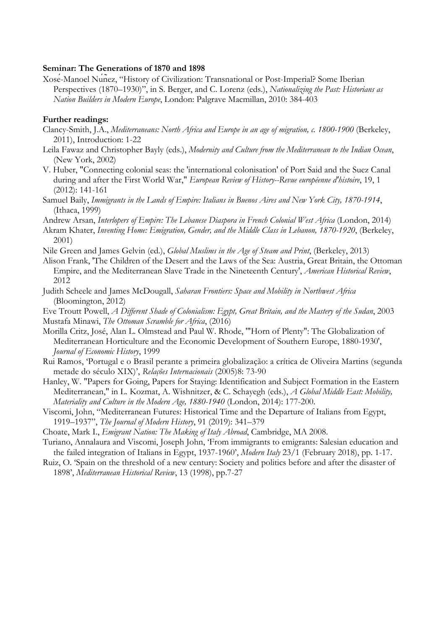#### **Seminar: The Generations of 1870 and 1898**

Xosé-Manoel Núñez, "History of Civilization: Transnational or Post-Imperial? Some Iberian Perspectives (1870–1930)", in S. Berger, and C. Lorenz (eds.), *Nationalizing the Past: Historians as Nation Builders in Modern Europe*, London: Palgrave Macmillan, 2010: 384-403

#### **Further readings:**

- Clancy-Smith, J.A., *Mediterraneans: North Africa and Europe in an age of migration, c. 1800-1900* (Berkeley, 2011), Introduction: 1-22
- Leila Fawaz and Christopher Bayly (eds.), *Modernity and Culture from the Mediterranean to the Indian Ocean*, (New York, 2002)
- V. Huber, "Connecting colonial seas: the 'international colonisation' of Port Said and the Suez Canal during and after the First World War," *European Review of History--Revue européenne d'histoire*, 19, 1 (2012): 141-161
- Samuel Baily, *Immigrants in the Lands of Empire: Italians in Buenos Aires and New York City, 1870-1914*, (Ithaca, 1999)
- Andrew Arsan, *Interlopers of Empire: The Lebanese Diaspora in French Colonial West Africa* (London, 2014)
- Akram Khater, *Inventing Home: Emigration, Gender, and the Middle Class in Lebanon, 1870-1920*, (Berkeley, 2001)
- Nile Green and James Gelvin (ed.), *Global Muslims in the Age of Steam and Print*, (Berkeley, 2013)
- Alison Frank, 'The Children of the Desert and the Laws of the Sea: Austria, Great Britain, the Ottoman Empire, and the Mediterranean Slave Trade in the Nineteenth Century', *American Historical Review*, 2012
- Judith Scheele and James McDougall, *Saharan Frontiers: Space and Mobility in Northwest Africa* (Bloomington, 2012)

Eve Troutt Powell, *A Different Shade of Colonialism: Egypt, Great Britain, and the Mastery of the Sudan*, 2003 Mustafa Minawi, *The Ottoman Scramble for Africa*, (2016)

- Morilla Critz, José, Alan L. Olmstead and Paul W. Rhode, '"Horn of Plenty": The Globalization of Mediterranean Horticulture and the Economic Development of Southern Europe, 1880-1930', *Journal of Economic History*, 1999
- Rui Ramos, 'Portugal e o Brasil perante a primeira globalização: a crítica de Oliveira Martins (segunda metade do século XIX)', *Relações Internacionais* (2005)8: 73-90
- Hanley, W. "Papers for Going, Papers for Staying: Identification and Subject Formation in the Eastern Mediterranean," in L. Kozmat, A. Wishnitzer, & C. Schayegh (eds.), *A Global Middle East: Mobility, Materiality and Culture in the Modern Age, 1880-1940* (London, 2014): 177-200.
- Viscomi, John, "Mediterranean Futures: Historical Time and the Departure of Italians from Egypt, 1919–1937", *The Journal of Modern History*, 91 (2019): 341–379
- Choate, Mark I., *Emigrant Nation: The Making of Italy Abroad*, Cambridge, MA 2008.
- Turiano, Annalaura and Viscomi, Joseph John, 'From immigrants to emigrants: Salesian education and the failed integration of Italians in Egypt, 1937-1960', *Modern Italy* 23/1 (February 2018), pp. 1-17.
- Ruiz, O. 'Spain on the threshold of a new century: Society and politics before and after the disaster of 1898', *Mediterranean Historical Review*, 13 (1998), pp.7-27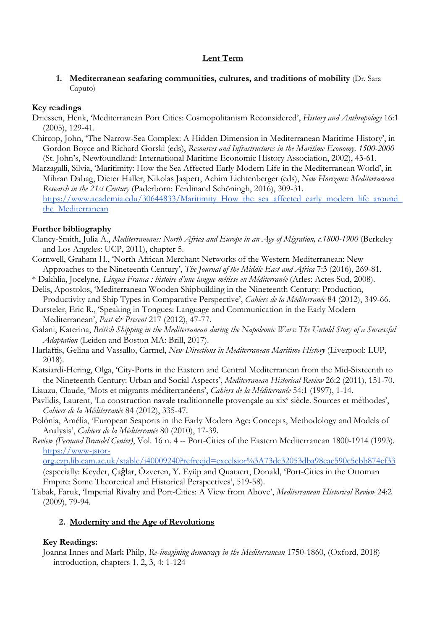# **Lent Term**

**1. Mediterranean seafaring communities, cultures, and traditions of mobility** (Dr. Sara Caputo)

# **Key readings**

- Driessen, Henk, 'Mediterranean Port Cities: Cosmopolitanism Reconsidered', *History and Anthropology* 16:1 (2005), 129-41.
- Chircop, John, 'The Narrow-Sea Complex: A Hidden Dimension in Mediterranean Maritime History', in Gordon Boyce and Richard Gorski (eds), *Resources and Infrastructures in the Maritime Economy, 1500-2000*  (St. John's, Newfoundland: International Maritime Economic History Association, 2002), 43-61.
- Marzagalli, Silvia, 'Maritimity: How the Sea Affected Early Modern Life in the Mediterranean World', in Mihran Dabag, Dieter Haller, Nikolas Jaspert, Achim Lichtenberger (eds), *New Horizons: Mediterranean Research in the 21st Century* (Paderborn: Ferdinand Schöningh, 2016), 309-31. https://www.academia.edu/30644833/Maritimity\_How\_the\_sea\_affected\_early\_modern\_life\_around the Mediterranean

# **Further bibliography**

- Clancy-Smith, Julia A., *Mediterraneans: North Africa and Europe in an Age of Migration, c.1800-1900* (Berkeley and Los Angeles: UCP, 2011), chapter 5.
- Cornwell, Graham H., 'North African Merchant Networks of the Western Mediterranean: New Approaches to the Nineteenth Century', *The Journal of the Middle East and Africa* 7:3 (2016), 269-81.
- \* Dakhlia, Jocelyne, *Lingua Franca : histoire d'une langue métisse en Méditerranée* (Arles: Actes Sud, 2008).
- Delis, Apostolos, 'Mediterranean Wooden Shipbuilding in the Nineteenth Century: Production, Productivity and Ship Types in Comparative Perspective', *Cahiers de la Méditerranée* 84 (2012), 349-66.
- Dursteler, Eric R., 'Speaking in Tongues: Language and Communication in the Early Modern Mediterranean', *Past & Present* 217 (2012), 47-77.
- Galani, Katerina, *British Shipping in the Mediterranean during the Napoleonic Wars: The Untold Story of a Successful Adaptation* (Leiden and Boston MA: Brill, 2017).
- Harlaftis, Gelina and Vassallo, Carmel, *New Directions in Mediterranean Maritime History* (Liverpool: LUP, 2018).
- Katsiardi-Hering, Olga, 'City-Ports in the Eastern and Central Mediterranean from the Mid-Sixteenth to the Nineteenth Century: Urban and Social Aspects', *Mediterranean Historical Review* 26:2 (2011), 151-70.
- Liauzu, Claude, 'Mots et migrants méditerranéens', *Cahiers de la Méditerranée* 54:1 (1997), 1-14.
- Pavlidis, Laurent, 'La construction navale traditionnelle provençale au xix<sup>e</sup> siècle. Sources et méthodes', *Cahiers de la Méditerranée* 84 (2012), 335-47.
- Polónia, Amélia, 'European Seaports in the Early Modern Age: Concepts, Methodology and Models of Analysis', *Cahiers de la Méditerranée* 80 (2010), 17-39.
- *Review (Fernand Braudel Center)*, Vol. 16 n. 4 -- Port-Cities of the Eastern Mediterranean 1800-1914 (1993). https://www-jstor-

org.ezp.lib.cam.ac.uk/stable/i40009240?refreqid=excelsior%3A73dc32053dba98eac590c5cbb874cf33 (especially: Keyder, Çaǧlar, Özveren, Y. Eyüp and Quataert, Donald, 'Port-Cities in the Ottoman Empire: Some Theoretical and Historical Perspectives', 519-58).

Tabak, Faruk, 'Imperial Rivalry and Port-Cities: A View from Above', *Mediterranean Historical Review* 24:2 (2009), 79-94.

# **2. Modernity and the Age of Revolutions**

# **Key Readings:**

Joanna Innes and Mark Philp, *Re*-*imagining democracy in the Mediterranean* 1750-1860, (Oxford, 2018) introduction, chapters 1, 2, 3, 4: 1-124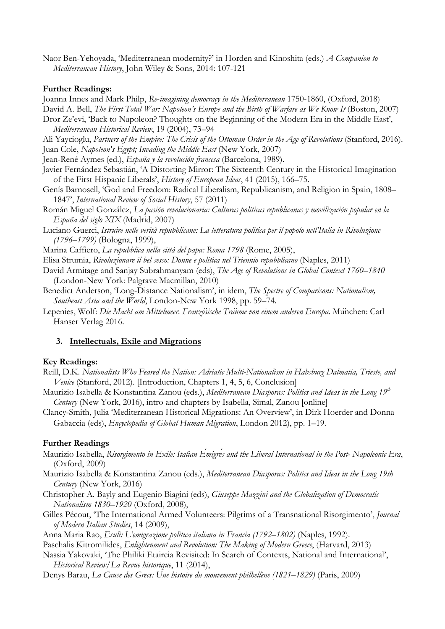Naor Ben-Yehoyada, 'Mediterranean modernity?' in Horden and Kinoshita (eds.) *A Companion to Mediterranean History*, John Wiley & Sons, 2014: 107-121

### **Further Readings:**

Joanna Innes and Mark Philp, *Re*-*imagining democracy in the Mediterranean* 1750-1860, (Oxford, 2018)

David A. Bell, *The First Total War: Napoleon's Europe and the Birth of Warfare as We Know It* (Boston, 2007)

Dror Ze'evi, 'Back to Napoleon? Thoughts on the Beginning of the Modern Era in the Middle East', *Mediterranean Historical Review*, 19 (2004), 73–94

Ali Yaycioglu, *Partners of the Empire: The Crisis of the Ottoman Order in the Age of Revolutions* (Stanford, 2016). Juan Cole, *Napoleon's Egypt; Invading the Middle East* (New York, 2007)

Jean-René Aymes (ed.), *España y la revolución francesa* (Barcelona, 1989).

- Javier Fernández Sebastián, 'A Distorting Mirror: The Sixteenth Century in the Historical Imagination of the First Hispanic Liberals', *History of European Ideas*, 41 (2015), 166–75.
- Genís Barnosell, 'God and Freedom: Radical Liberalism, Republicanism, and Religion in Spain, 1808– 1847', *International Review of Social History*, 57 (2011)
- Román Miguel González, *La pasión revolucionaria: Culturas políticas republicanas y movilización popular en la España del siglo XIX* (Madrid, 2007)
- Luciano Guerci, *Istruire nelle verità repubblicane: La letteratura politica per il popolo nell'Italia in Rivoluzione (1796–1799)* (Bologna, 1999),

Marina Caffiero, *La repubblica nella città del papa: Roma 1798* (Rome, 2005),

- Elisa Strumia, *Rivoluzionare il bel sesso: Donne e politica nel Triennio repubblicano* (Naples, 2011)
- David Armitage and Sanjay Subrahmanyam (eds), *The Age of Revolutions in Global Context 1760–1840*  (London-New York: Palgrave Macmillan, 2010)
- Benedict Anderson, 'Long-Distance Nationalism', in idem, *The Spectre of Comparisons: Nationalism, Southeast Asia and the World*, London-New York 1998, pp. 59–74.
- Lepenies, Wolf: *Die Macht am Mittelmeer. Französische Träume von einem anderen Europa*. München: Carl Hanser Verlag 2016.

### **3. Intellectuals, Exile and Migrations**

### **Key Readings:**

- Reill, D.K. *Nationalists Who Feared the Nation: Adriatic Multi-Nationalism in Habsburg Dalmatia, Trieste, and Venice* (Stanford, 2012). [Introduction, Chapters 1, 4, 5, 6, Conclusion]
- Maurizio Isabella & Konstantina Zanou (eds.), *Mediterranean Diasporas: Politics and Ideas in the Long 19th Century* (New York, 2016), intro and chapters by Isabella, Simal, Zanou [online]

Clancy-Smith, Julia 'Mediterranean Historical Migrations: An Overview', in Dirk Hoerder and Donna Gabaccia (eds), *Encyclopedia of Global Human Migration*, London 2012), pp. 1–19.

### **Further Readings**

- Maurizio Isabella, *Risorgimento in Exile: Italian Émigrés and the Liberal International in the Post- Napoleonic Era*, (Oxford, 2009)
- Maurizio Isabella & Konstantina Zanou (eds.), *Mediterranean Diasporas: Politics and Ideas in the Long 19th Century* (New York, 2016)
- Christopher A. Bayly and Eugenio Biagini (eds), *Giuseppe Mazzini and the Globalization of Democratic Nationalism 1830–1920* (Oxford, 2008),
- Gilles Pécout, 'The International Armed Volunteers: Pilgrims of a Transnational Risorgimento', *Journal of Modern Italian Studies*, 14 (2009),

Anna Maria Rao, *Esuli: L'emigrazione politica italiana in Francia (1792–1802)* (Naples, 1992).

Paschalis Kitromilides, *Enlightenment and Revolution: The Making of Modern Greece*, (Harvard, 2013)

Nassia Yakovaki, 'The Philiki Etaireia Revisited: In Search of Contexts, National and International', *Historical Review/La Revue historique*, 11 (2014),

Denys Barau, *La Cause des Grecs: Une histoire du mouvement philhellène (1821–1829)* (Paris, 2009)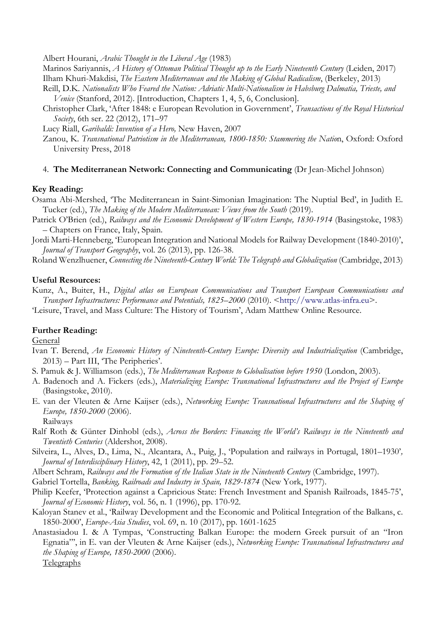Albert Hourani, *Arabic Thought in the Liberal Age* (1983)

Marinos Sariyannis, *A History of Ottoman Political Thought up to the Early Nineteenth Century* (Leiden, 2017) Ilham Khuri-Makdisi, *The Eastern Mediterranean and the Making of Global Radicalism*, (Berkeley, 2013)

Reill, D.K. *Nationalists Who Feared the Nation: Adriatic Multi-Nationalism in Habsburg Dalmatia, Trieste, and Venice* (Stanford, 2012). [Introduction, Chapters 1, 4, 5, 6, Conclusion].

Christopher Clark, 'After 1848: e European Revolution in Government', *Transactions of the Royal Historical Society*, 6th ser. 22 (2012), 171–97

Lucy Riall, *Garibaldi: Invention of a Hero,* New Haven, 2007

Zanou, K. *Transnational Patriotism in the Mediterranean, 1800-1850: Stammering the Nation*, Oxford: Oxford University Press, 2018

### 4. **The Mediterranean Network: Connecting and Communicating** (Dr Jean-Michel Johnson)

### **Key Reading:**

Osama Abi-Mershed, 'The Mediterranean in Saint-Simonian Imagination: The Nuptial Bed', in Judith E. Tucker (ed.), *The Making of the Modern Mediterranean: Views from the South* (2019).

Patrick O'Brien (ed.), *Railways and the Economic Development of Western Europe, 1830-1914* (Basingstoke, 1983) – Chapters on France, Italy, Spain.

Jordi Marti-Henneberg, 'European Integration and National Models for Railway Development (1840-2010)', *Journal of Transport Geography*, vol. 26 (2013), pp. 126-38.

Roland Wenzlhuener, *Connecting the Nineteenth-Century World: The Telegraph and Globalization* (Cambridge, 2013)

### **Useful Resources:**

Kunz, A., Buiter, H., *Digital atlas on European Communications and Transport European Communications and Transport Infrastructures: Performance and Potentials, 1825–2000* (2010). <http://www.atlas-infra.eu>. 'Leisure, Travel, and Mass Culture: The History of Tourism', Adam Matthew Online Resource.

### **Further Reading:**

General

- Ivan T. Berend, *An Economic History of Nineteenth-Century Europe: Diversity and Industrialization (Cambridge,* 2013) – Part III, 'The Peripheries'.
- S. Pamuk & J. Williamson (eds.), *The Mediterranean Response to Globalisation before 1950* (London, 2003).
- A. Badenoch and A. Fickers (eds.), *Materializing Europe: Transnational Infrastructures and the Project of Europe* (Basingstoke, 2010).
- E. van der Vleuten & Arne Kaijser (eds.), *Networking Europe: Transnational Infrastructures and the Shaping of Europe, 1850-2000* (2006).

Railways

- Ralf Roth & Günter Dinhobl (eds.), *Across the Borders: Financing the World's Railways in the Nineteenth and Twentieth Centuries* (Aldershot, 2008).
- Silveira, L., Alves, D., Lima, N., Alcantara, A., Puig, J., 'Population and railways in Portugal, 1801–1930'*, Journal of Interdisciplinary History*, 42, 1 (2011), pp. 29–52.

Albert Schram, *Railways and the Formation of the Italian State in the Nineteenth Century* (Cambridge, 1997).

Gabriel Tortella, *Banking, Railroads and Industry in Spain, 1829-1874* (New York, 1977).

Philip Keefer, 'Protection against a Capricious State: French Investment and Spanish Railroads, 1845-75', *Journal of Economic History*, vol. 56, n. 1 (1996), pp. 170-92.

Kaloyan Stanev et al., 'Railway Development and the Economic and Political Integration of the Balkans, c. 1850-2000', *Europe-Asia Studies*, vol. 69, n. 10 (2017), pp. 1601-1625

Anastasiadou I. & A Tympas, 'Constructing Balkan Europe: the modern Greek pursuit of an "Iron Egnatia"', in E. van der Vleuten & Arne Kaijser (eds.), *Networking Europe: Transnational Infrastructures and the Shaping of Europe, 1850-2000* (2006).

Telegraphs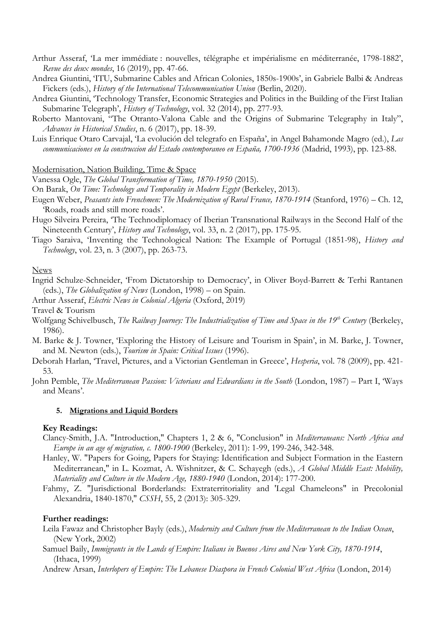- Arthur Asseraf, 'La mer immédiate : nouvelles, télégraphe et impérialisme en méditerranée, 1798-1882', *Revue des deux mondes*, 16 (2019), pp. 47-66.
- Andrea Giuntini, 'ITU, Submarine Cables and African Colonies, 1850s-1900s', in Gabriele Balbi & Andreas Fickers (eds.), *History of the International Telecommunication Union* (Berlin, 2020).
- Andrea Giuntini, 'Technology Transfer, Economic Strategies and Politics in the Building of the First Italian Submarine Telegraph', *History of Technology*, vol. 32 (2014), pp. 277-93.
- Roberto Mantovani, "The Otranto-Valona Cable and the Origins of Submarine Telegraphy in Italy", *Advances in Historical Studies*, n. 6 (2017), pp. 18-39.
- Luis Enrique Otaro Carvajal, 'La evolución del telegrafo en España', in Angel Bahamonde Magro (ed.), *Las communicaciones en la construccion del Estado contemporaneo en España, 1700-1936* (Madrid, 1993), pp. 123-88.

Modernisation, Nation Building, Time & Space

Vanessa Ogle, *The Global Transformation of Time, 1870-1950* (2015).

- On Barak, *On Time: Technology and Temporality in Modern Egypt* (Berkeley, 2013).
- Eugen Weber, *Peasants into Frenchmen: The Modernization of Rural France, 1870-1914* (Stanford, 1976) Ch. 12, 'Roads, roads and still more roads'.
- Hugo Silveira Pereira, 'The Technodiplomacy of Iberian Transnational Railways in the Second Half of the Nineteenth Century', *History and Technology*, vol. 33, n. 2 (2017), pp. 175-95.
- Tiago Saraiva, 'Inventing the Technological Nation: The Example of Portugal (1851-98), *History and Technology*, vol. 23, n. 3 (2007), pp. 263-73.

#### News

Ingrid Schulze-Schneider, 'From Dictatorship to Democracy', in Oliver Boyd-Barrett & Terhi Rantanen (eds.), *The Globalization of News* (London, 1998) – on Spain.

Arthur Asseraf, *Electric News in Colonial Algeria* (Oxford, 2019)

Travel & Tourism

- Wolfgang Schivelbusch, *The Railway Journey: The Industrialization of Time and Space in the 19<sup>th</sup> Century (Berkeley,* 1986).
- M. Barke & J. Towner, 'Exploring the History of Leisure and Tourism in Spain', in M. Barke, J. Towner, and M. Newton (eds.), *Tourism in Spain: Critical Issues* (1996).
- Deborah Harlan, 'Travel, Pictures, and a Victorian Gentleman in Greece', *Hesperia*, vol. 78 (2009), pp. 421- 53.
- John Pemble, *The Mediterranean Passion: Victorians and Edwardians in the South* (London, 1987) Part I, 'Ways and Means'.

#### **5. Migrations and Liquid Borders**

#### **Key Readings:**

- Clancy-Smith, J.A. "Introduction," Chapters 1, 2 & 6, "Conclusion" in *Mediterraneans: North Africa and Europe in an age of migration, c. 1800-1900* (Berkeley, 2011): 1-99, 199-246, 342-348.
- Hanley, W. "Papers for Going, Papers for Staying: Identification and Subject Formation in the Eastern Mediterranean," in L. Kozmat, A. Wishnitzer, & C. Schayegh (eds.), *A Global Middle East: Mobility, Materiality and Culture in the Modern Age, 1880-1940* (London, 2014): 177-200.
- Fahmy, Z. "Jurisdictional Borderlands: Extraterritoriality and 'Legal Chameleons" in Precolonial Alexandria, 1840-1870," *CSSH*, 55, 2 (2013): 305-329.

#### **Further readings:**

- Leila Fawaz and Christopher Bayly (eds.), *Modernity and Culture from the Mediterranean to the Indian Ocean*, (New York, 2002)
- Samuel Baily, *Immigrants in the Lands of Empire: Italians in Buenos Aires and New York City, 1870-1914*, (Ithaca, 1999)

Andrew Arsan, *Interlopers of Empire: The Lebanese Diaspora in French Colonial West Africa* (London, 2014)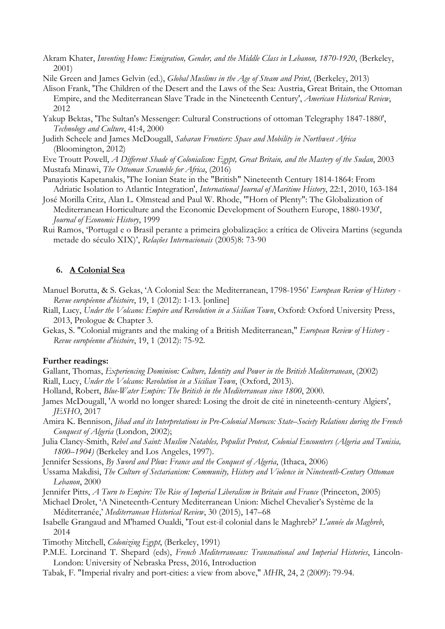- Akram Khater, *Inventing Home: Emigration, Gender, and the Middle Class in Lebanon, 1870-1920*, (Berkeley, 2001)
- Nile Green and James Gelvin (ed.), *Global Muslims in the Age of Steam and Print*, (Berkeley, 2013)
- Alison Frank, 'The Children of the Desert and the Laws of the Sea: Austria, Great Britain, the Ottoman Empire, and the Mediterranean Slave Trade in the Nineteenth Century', *American Historical Review*, 2012
- Yakup Bektas, 'The Sultan's Messenger: Cultural Constructions of ottoman Telegraphy 1847-1880', *Technology and Culture*, 41:4, 2000
- Judith Scheele and James McDougall, *Saharan Frontiers: Space and Mobility in Northwest Africa* (Bloomington, 2012)
- Eve Troutt Powell, *A Different Shade of Colonialism: Egypt, Great Britain, and the Mastery of the Sudan*, 2003 Mustafa Minawi, *The Ottoman Scramble for Africa*, (2016)
- Panayiotis Kapetanakis, 'The Ionian State in the "British" Nineteenth Century 1814-1864: From Adriatic Isolation to Atlantic Integration', *International Journal of Maritime History*, 22:1, 2010, 163-184
- José Morilla Critz, Alan L. Olmstead and Paul W. Rhode, '"Horn of Plenty": The Globalization of Mediterranean Horticulture and the Economic Development of Southern Europe, 1880-1930', *Journal of Economic History*, 1999
- Rui Ramos, 'Portugal e o Brasil perante a primeira globalização: a crítica de Oliveira Martins (segunda metade do século XIX)', *Relações Internacionais* (2005)8: 73-90

#### **6. A Colonial Sea**

- Manuel Borutta, & S. Gekas, 'A Colonial Sea: the Mediterranean, 1798-1956' *European Review of History - Revue européenne d'histoire*, 19, 1 (2012): 1-13. [online]
- Riall, Lucy, *Under the Volcano: Empire and Revolution in a Sicilian Town*, Oxford: Oxford University Press, 2013, Prologue & Chapter 3.
- Gekas, S. "Colonial migrants and the making of a British Mediterranean," *European Review of History - Revue européenne d'histoire*, 19, 1 (2012): 75-92.

#### **Further readings:**

- Gallant, Thomas, *Experiencing Dominion: Culture, Identity and Power in the British Mediterranean*, (2002) Riall, Lucy, *Under the Volcano: Revolution in a Sicilian Town*, (Oxford, 2013).
- Holland, Robert, *Blue-Water Empire: The British in the Mediterranean since 1800*, 2000.
- James McDougall, 'A world no longer shared: Losing the droit de cité in nineteenth-century Algiers', *JESHO*, 2017
- Amira K. Bennison, *Jihad and its Interpretations in Pre-Colonial Morocco: State–Society Relations during the French Conquest of Algeria* (London, 2002);
- Julia Clancy-Smith, *Rebel and Saint: Muslim Notables, Populist Protest, Colonial Encounters (Algeria and Tunisia, 1800–1904)* (Berkeley and Los Angeles, 1997).
- Jennifer Sessions, *By Sword and Plow: France and the Conquest of Algeria*, (Ithaca, 2006)
- Ussama Makdisi, *The Culture of Sectarianism: Community, History and Violence in Nineteenth-Century Ottoman Lebanon*, 2000
- Jennifer Pitts, *A Turn to Empire: The Rise of Imperial Liberalism in Britain and France* (Princeton, 2005)
- Michael Drolet, 'A Nineteenth-Century Mediterranean Union: Michel Chevalier's Système de la Méditerranée,' *Mediterranean Historical Review*, 30 (2015), 147–68
- Isabelle Grangaud and M'hamed Oualdi, 'Tout est-il colonial dans le Maghreb?' *L'année du Maghreb*, 2014
- Timothy Mitchell, *Colonizing Egypt*, (Berkeley, 1991)
- P.M.E. Lorcinand T. Shepard (eds), *French Mediterraneans: Transnational and Imperial Histories*, Lincoln-London: University of Nebraska Press, 2016, Introduction
- Tabak, F. "Imperial rivalry and port-cities: a view from above," *MHR*, 24, 2 (2009): 79-94.